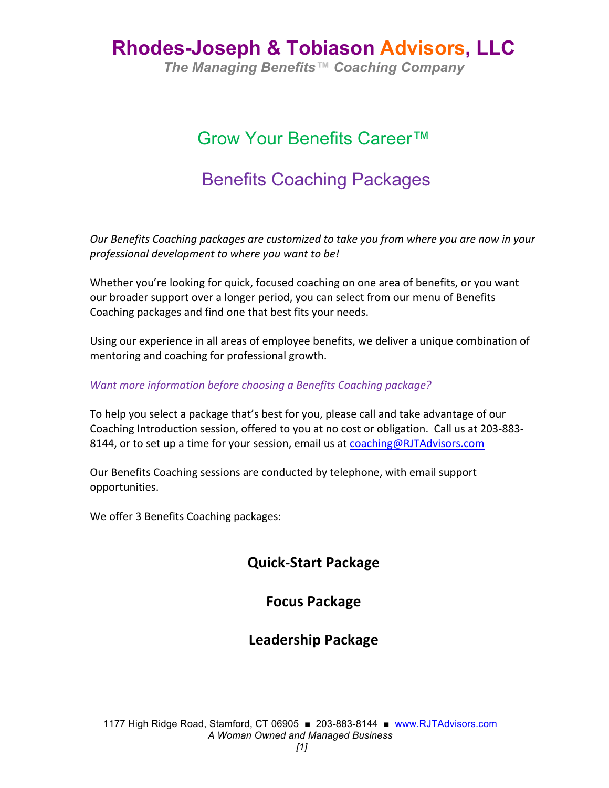## **Rhodes-Joseph & Tobiason Advisors, LLC**

*The Managing Benefits™ Coaching Company*

## Grow Your Benefits Career™

## Benefits Coaching Packages

*Our* Benefits Coaching packages are customized to take you from where you are now in your *professional development to where you want to be!*

Whether you're looking for quick, focused coaching on one area of benefits, or you want our broader support over a longer period, you can select from our menu of Benefits Coaching packages and find one that best fits your needs.

Using our experience in all areas of employee benefits, we deliver a unique combination of mentoring and coaching for professional growth.

#### *Want more information before choosing a Benefits Coaching package?*

To help you select a package that's best for you, please call and take advantage of our Coaching Introduction session, offered to you at no cost or obligation. Call us at 203-883-8144, or to set up a time for your session, email us at coaching@RJTAdvisors.com

Our Benefits Coaching sessions are conducted by telephone, with email support opportunities.

We offer 3 Benefits Coaching packages:

### **Quick-Start Package**

#### **Focus Package**

### **Leadership Package**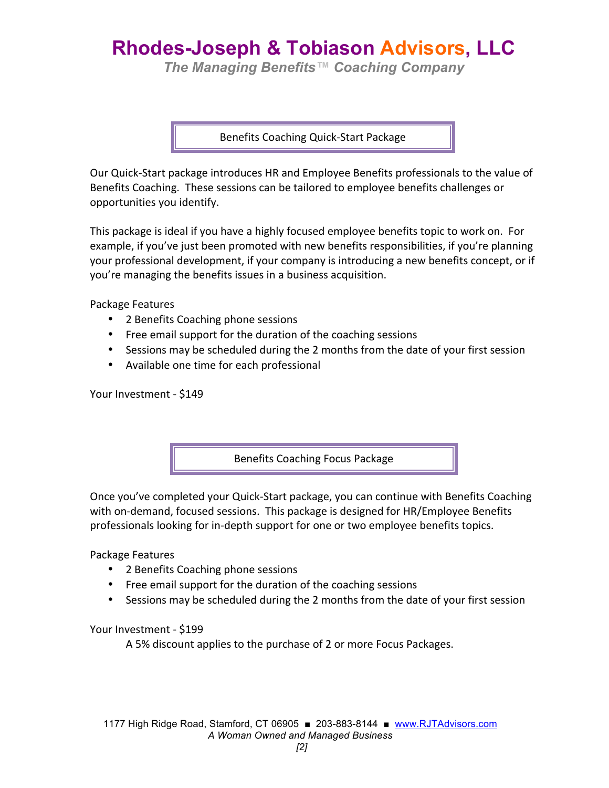# **Rhodes-Joseph & Tobiason Advisors, LLC**

*The Managing Benefits™ Coaching Company*

Benefits Coaching Quick-Start Package

Our Quick-Start package introduces HR and Employee Benefits professionals to the value of Benefits Coaching. These sessions can be tailored to employee benefits challenges or opportunities you identify.

This package is ideal if you have a highly focused employee benefits topic to work on. For example, if you've just been promoted with new benefits responsibilities, if you're planning your professional development, if your company is introducing a new benefits concept, or if you're managing the benefits issues in a business acquisition.

Package Features

- 2 Benefits Coaching phone sessions
- Free email support for the duration of the coaching sessions
- Sessions may be scheduled during the 2 months from the date of your first session
- Available one time for each professional

Your Investment - \$149

Benefits Coaching Focus Package

Once you've completed your Quick-Start package, you can continue with Benefits Coaching with on-demand, focused sessions. This package is designed for HR/Employee Benefits professionals looking for in-depth support for one or two employee benefits topics.

Package Features

- 2 Benefits Coaching phone sessions
- Free email support for the duration of the coaching sessions
- Sessions may be scheduled during the 2 months from the date of your first session

Your Investment - \$199

A 5% discount applies to the purchase of 2 or more Focus Packages.